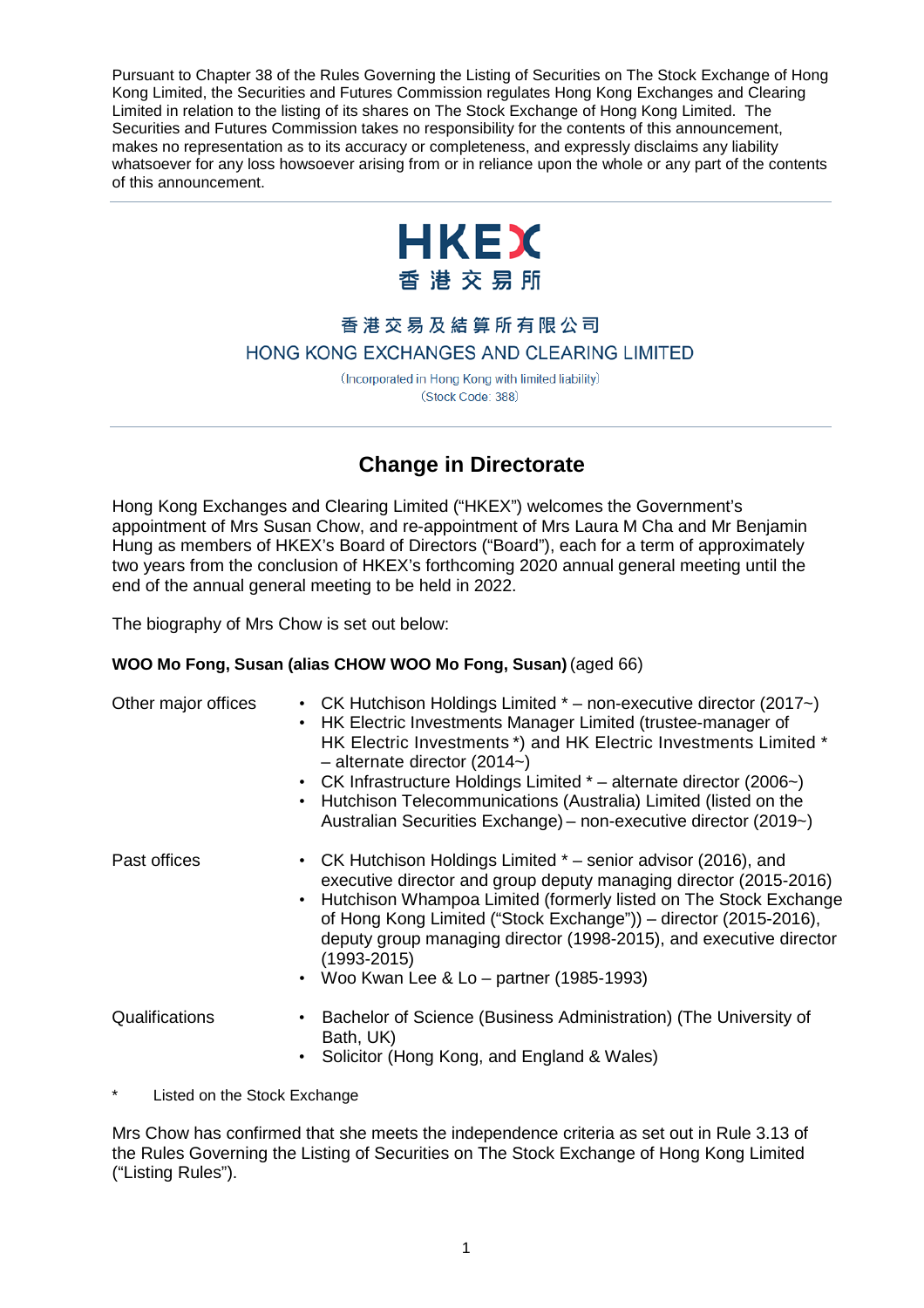Pursuant to Chapter 38 of the Rules Governing the Listing of Securities on The Stock Exchange of Hong Kong Limited, the Securities and Futures Commission regulates Hong Kong Exchanges and Clearing Limited in relation to the listing of its shares on The Stock Exchange of Hong Kong Limited. The Securities and Futures Commission takes no responsibility for the contents of this announcement, makes no representation as to its accuracy or completeness, and expressly disclaims any liability whatsoever for any loss howsoever arising from or in reliance upon the whole or any part of the contents of this announcement.



## 香港交易及結算所有限公司 HONG KONG EXCHANGES AND CLEARING LIMITED

(Incorporated in Hong Kong with limited liability) (Stock Code: 388)

## **Change in Directorate**

Hong Kong Exchanges and Clearing Limited ("HKEX") welcomes the Government's appointment of Mrs Susan Chow, and re-appointment of Mrs Laura M Cha and Mr Benjamin Hung as members of HKEX's Board of Directors ("Board"), each for a term of approximately two years from the conclusion of HKEX's forthcoming 2020 annual general meeting until the end of the annual general meeting to be held in 2022.

The biography of Mrs Chow is set out below:

## **WOO Mo Fong, Susan (alias CHOW WOO Mo Fong, Susan)** (aged 66)

| Other major offices | • CK Hutchison Holdings Limited * - non-executive director (2017~)<br>• HK Electric Investments Manager Limited (trustee-manager of<br>HK Electric Investments *) and HK Electric Investments Limited *<br>$-$ alternate director (2014 $\sim$ )<br>• CK Infrastructure Holdings Limited * - alternate director (2006~)<br>• Hutchison Telecommunications (Australia) Limited (listed on the<br>Australian Securities Exchange) – non-executive director (2019~) |
|---------------------|------------------------------------------------------------------------------------------------------------------------------------------------------------------------------------------------------------------------------------------------------------------------------------------------------------------------------------------------------------------------------------------------------------------------------------------------------------------|
| Past offices        | • CK Hutchison Holdings Limited * – senior advisor (2016), and<br>executive director and group deputy managing director (2015-2016)<br>• Hutchison Whampoa Limited (formerly listed on The Stock Exchange<br>of Hong Kong Limited ("Stock Exchange")) - director (2015-2016),<br>deputy group managing director (1998-2015), and executive director<br>$(1993 - 2015)$<br>• Woo Kwan Lee & Lo – partner $(1985-1993)$                                            |
| Qualifications      | • Bachelor of Science (Business Administration) (The University of<br>Bath, UK)<br>Solicitor (Hong Kong, and England & Wales)                                                                                                                                                                                                                                                                                                                                    |

Listed on the Stock Exchange

Mrs Chow has confirmed that she meets the independence criteria as set out in Rule 3.13 of the Rules Governing the Listing of Securities on The Stock Exchange of Hong Kong Limited ("Listing Rules").